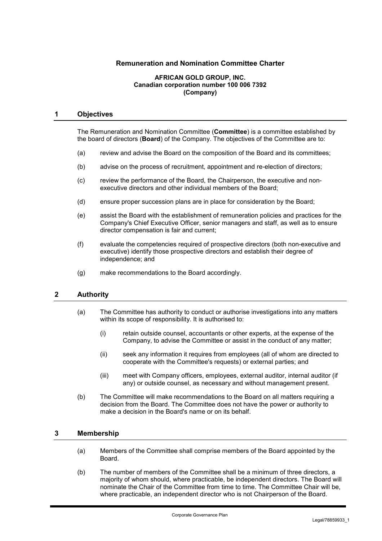# **Remuneration and Nomination Committee Charter**

#### **AFRICAN GOLD GROUP, INC. Canadian corporation number 100 006 7392 (Company)**

### **1 Objectives**

The Remuneration and Nomination Committee (**Committee**) is a committee established by the board of directors (**Board**) of the Company. The objectives of the Committee are to:

- (a) review and advise the Board on the composition of the Board and its committees;
- (b) advise on the process of recruitment, appointment and re-election of directors;
- (c) review the performance of the Board, the Chairperson, the executive and nonexecutive directors and other individual members of the Board;
- (d) ensure proper succession plans are in place for consideration by the Board;
- (e) assist the Board with the establishment of remuneration policies and practices for the Company's Chief Executive Officer, senior managers and staff, as well as to ensure director compensation is fair and current;
- (f) evaluate the competencies required of prospective directors (both non-executive and executive) identify those prospective directors and establish their degree of independence; and
- (g) make recommendations to the Board accordingly.

# **2 Authority**

- (a) The Committee has authority to conduct or authorise investigations into any matters within its scope of responsibility. It is authorised to:
	- (i) retain outside counsel, accountants or other experts, at the expense of the Company, to advise the Committee or assist in the conduct of any matter;
	- (ii) seek any information it requires from employees (all of whom are directed to cooperate with the Committee's requests) or external parties; and
	- (iii) meet with Company officers, employees, external auditor, internal auditor (if any) or outside counsel, as necessary and without management present.
- (b) The Committee will make recommendations to the Board on all matters requiring a decision from the Board. The Committee does not have the power or authority to make a decision in the Board's name or on its behalf.

### **3 Membership**

- (a) Members of the Committee shall comprise members of the Board appointed by the Board.
- (b) The number of members of the Committee shall be a minimum of three directors, a majority of whom should, where practicable, be independent directors. The Board will nominate the Chair of the Committee from time to time. The Committee Chair will be, where practicable, an independent director who is not Chairperson of the Board.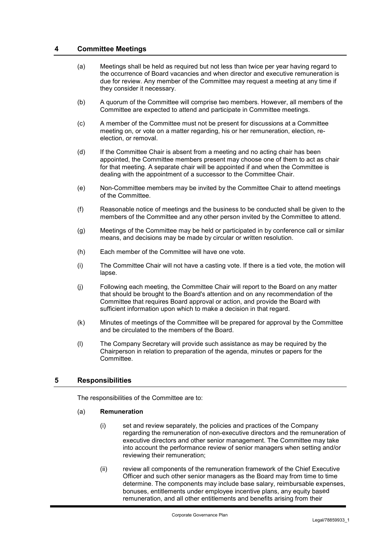### **4 Committee Meetings**

- (a) Meetings shall be held as required but not less than twice per year having regard to the occurrence of Board vacancies and when director and executive remuneration is due for review. Any member of the Committee may request a meeting at any time if they consider it necessary.
- (b) A quorum of the Committee will comprise two members. However, all members of the Committee are expected to attend and participate in Committee meetings.
- (c) A member of the Committee must not be present for discussions at a Committee meeting on, or vote on a matter regarding, his or her remuneration, election, reelection, or removal.
- (d) If the Committee Chair is absent from a meeting and no acting chair has been appointed, the Committee members present may choose one of them to act as chair for that meeting. A separate chair will be appointed if and when the Committee is dealing with the appointment of a successor to the Committee Chair.
- (e) Non-Committee members may be invited by the Committee Chair to attend meetings of the Committee.
- (f) Reasonable notice of meetings and the business to be conducted shall be given to the members of the Committee and any other person invited by the Committee to attend.
- (g) Meetings of the Committee may be held or participated in by conference call or similar means, and decisions may be made by circular or written resolution.
- (h) Each member of the Committee will have one vote.
- (i) The Committee Chair will not have a casting vote. If there is a tied vote, the motion will lapse.
- (j) Following each meeting, the Committee Chair will report to the Board on any matter that should be brought to the Board's attention and on any recommendation of the Committee that requires Board approval or action, and provide the Board with sufficient information upon which to make a decision in that regard.
- (k) Minutes of meetings of the Committee will be prepared for approval by the Committee and be circulated to the members of the Board.
- (l) The Company Secretary will provide such assistance as may be required by the Chairperson in relation to preparation of the agenda, minutes or papers for the Committee.

# **5 Responsibilities**

The responsibilities of the Committee are to:

### (a) **Remuneration**

- (i) set and review separately, the policies and practices of the Company regarding the remuneration of non-executive directors and the remuneration of executive directors and other senior management. The Committee may take into account the performance review of senior managers when setting and/or reviewing their remuneration;
- (ii) review all components of the remuneration framework of the Chief Executive Officer and such other senior managers as the Board may from time to time determine. The components may include base salary, reimbursable expenses, bonuses, entitlements under employee incentive plans, any equity based remuneration, and all other entitlements and benefits arising from their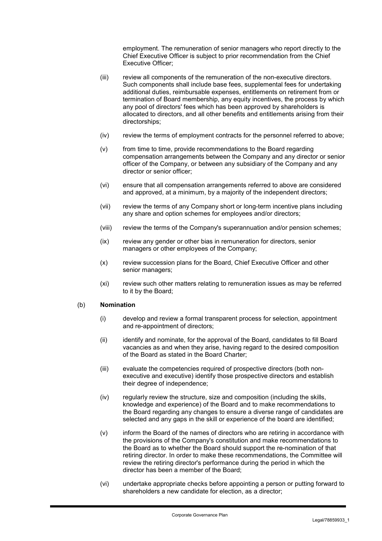employment. The remuneration of senior managers who report directly to the Chief Executive Officer is subject to prior recommendation from the Chief Executive Officer;

- (iii) review all components of the remuneration of the non-executive directors. Such components shall include base fees, supplemental fees for undertaking additional duties, reimbursable expenses, entitlements on retirement from or termination of Board membership, any equity incentives, the process by which any pool of directors' fees which has been approved by shareholders is allocated to directors, and all other benefits and entitlements arising from their directorships;
- (iv) review the terms of employment contracts for the personnel referred to above;
- (v) from time to time, provide recommendations to the Board regarding compensation arrangements between the Company and any director or senior officer of the Company, or between any subsidiary of the Company and any director or senior officer;
- (vi) ensure that all compensation arrangements referred to above are considered and approved, at a minimum, by a majority of the independent directors;
- (vii) review the terms of any Company short or long-term incentive plans including any share and option schemes for employees and/or directors;
- (viii) review the terms of the Company's superannuation and/or pension schemes;
- (ix) review any gender or other bias in remuneration for directors, senior managers or other employees of the Company;
- (x) review succession plans for the Board, Chief Executive Officer and other senior managers;
- (xi) review such other matters relating to remuneration issues as may be referred to it by the Board;

### (b) **Nomination**

- (i) develop and review a formal transparent process for selection, appointment and re-appointment of directors;
- (ii) identify and nominate, for the approval of the Board, candidates to fill Board vacancies as and when they arise, having regard to the desired composition of the Board as stated in the Board Charter;
- (iii) evaluate the competencies required of prospective directors (both nonexecutive and executive) identify those prospective directors and establish their degree of independence;
- (iv) regularly review the structure, size and composition (including the skills, knowledge and experience) of the Board and to make recommendations to the Board regarding any changes to ensure a diverse range of candidates are selected and any gaps in the skill or experience of the board are identified;
- (v) inform the Board of the names of directors who are retiring in accordance with the provisions of the Company's constitution and make recommendations to the Board as to whether the Board should support the re-nomination of that retiring director. In order to make these recommendations, the Committee will review the retiring director's performance during the period in which the director has been a member of the Board;
- (vi) undertake appropriate checks before appointing a person or putting forward to shareholders a new candidate for election, as a director: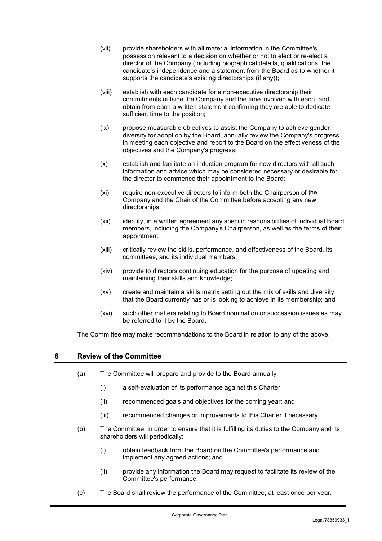- (vii) provide shareholders with all material information in the Committee's possession relevant to a decision on whether or not to elect or re-elect a director of the Company (including biographical details, qualifications, the candidate's independence and a statement from the Board as to whether it supports the candidate's existing directorships (if any));
- (viii) establish with each candidate for a non-executive directorship their commitments outside the Company and the time involved with each, and obtain from each a written statement confirming they are able to dedicate sufficient time to the position;
- (ix) propose measurable objectives to assist the Company to achieve gender diversity for adoption by the Board, annually review the Company's progress in meeting each objective and report to the Board on the effectiveness of the objectives and the Company's progress;
- (x) establish and facilitate an induction program for new directors with all such information and advice which may be considered necessary or desirable for the director to commence their appointment to the Board;
- (xi) require non-executive directors to inform both the Chairperson of the Company and the Chair of the Committee before accepting any new directorships;
- (xii) identify, in a written agreement any specific responsibilities of individual Board members, including the Company's Chairperson, as well as the terms of their appointment;
- (xiii) critically review the skills, performance, and effectiveness of the Board, its committees, and its individual members;
- (xiv) provide to directors continuing education for the purpose of updating and maintaining their skills and knowledge;
- (xv) create and maintain a skills matrix setting out the mix of skills and diversity that the Board currently has or is looking to achieve in its membership; and
- (xvi) such other matters relating to Board nomination or succession issues as may be referred to it by the Board.

The Committee may make recommendations to the Board in relation to any of the above.

### **6 Review of the Committee**

- (a) The Committee will prepare and provide to the Board annually:
	- (i) a self-evaluation of its performance against this Charter;
	- (ii) recommended goals and objectives for the coming year; and
	- (iii) recommended changes or improvements to this Charter if necessary.
- (b) The Committee, in order to ensure that it is fulfilling its duties to the Company and its shareholders will periodically:
	- (i) obtain feedback from the Board on the Committee's performance and implement any agreed actions; and
	- (ii) provide any information the Board may request to facilitate its review of the Committee's performance.
- (c) The Board shall review the performance of the Committee, at least once per year.